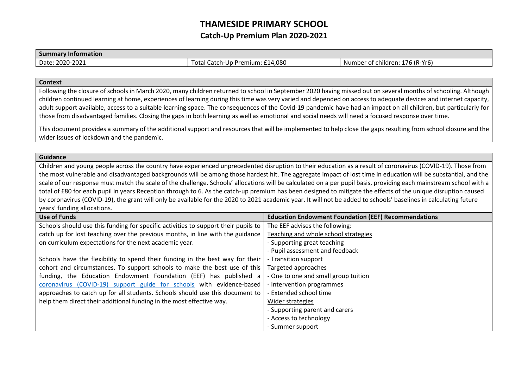## **THAMESIDE PRIMARY SCHOOL Catch-Up Premium Plan 2020-2021**

## **Summary Information** Date: 2020-2021 Total Catch-Up Premium: £14,080 Number of children: 176 (R-Yr6)

## **Context**

Following the closure of schools in March 2020, many children returned to school in September 2020 having missed out on several months of schooling. Although children continued learning at home, experiences of learning during this time was very varied and depended on access to adequate devices and internet capacity, adult support available, access to a suitable learning space. The consequences of the Covid-19 pandemic have had an impact on all children, but particularly for those from disadvantaged families. Closing the gaps in both learning as well as emotional and social needs will need a focused response over time.

This document provides a summary of the additional support and resources that will be implemented to help close the gaps resulting from school closure and the wider issues of lockdown and the pandemic.

## **Guidance**

Children and young people across the country have experienced unprecedented disruption to their education as a result of coronavirus (COVID-19). Those from the most vulnerable and disadvantaged backgrounds will be among those hardest hit. The aggregate impact of lost time in education will be substantial, and the scale of our response must match the scale of the challenge. Schools' allocations will be calculated on a per pupil basis, providing each mainstream school with a total of £80 for each pupil in years Reception through to 6. As the catch-up premium has been designed to mitigate the effects of the unique disruption caused by coronavirus (COVID-19), the grant will only be available for the 2020 to 2021 academic year. It will not be added to schools' baselines in calculating future years' funding allocations.

| <b>Use of Funds</b>                                                                | <b>Education Endowment Foundation (EEF) Recommendations</b> |
|------------------------------------------------------------------------------------|-------------------------------------------------------------|
| Schools should use this funding for specific activities to support their pupils to | The EEF advises the following:                              |
| catch up for lost teaching over the previous months, in line with the guidance     | Teaching and whole school strategies                        |
| on curriculum expectations for the next academic year.                             | - Supporting great teaching                                 |
|                                                                                    | - Pupil assessment and feedback                             |
| Schools have the flexibility to spend their funding in the best way for their      | - Transition support                                        |
| cohort and circumstances. To support schools to make the best use of this          | Targeted approaches                                         |
| funding, the Education Endowment Foundation (EEF) has published a                  | - One to one and small group tuition                        |
| coronavirus (COVID-19) support guide for schools with evidence-based               | - Intervention programmes                                   |
| approaches to catch up for all students. Schools should use this document to       | - Extended school time                                      |
| help them direct their additional funding in the most effective way.               | Wider strategies                                            |
|                                                                                    | - Supporting parent and carers                              |
|                                                                                    | - Access to technology                                      |
|                                                                                    | - Summer support                                            |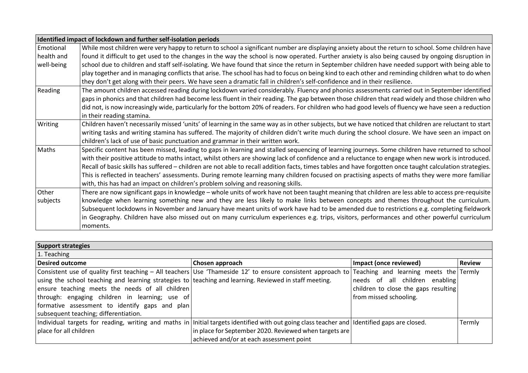| Identified impact of lockdown and further self-isolation periods |                                                                                                                                                           |  |
|------------------------------------------------------------------|-----------------------------------------------------------------------------------------------------------------------------------------------------------|--|
| Emotional                                                        | While most children were very happy to return to school a significant number are displaying anxiety about the return to school. Some children have        |  |
| health and                                                       | found it difficult to get used to the changes in the way the school is now operated. Further anxiety is also being caused by ongoing disruption in        |  |
| well-being                                                       | school due to children and staff self-isolating. We have found that since the return in September children have needed support with being able to         |  |
|                                                                  | play together and in managing conflicts that arise. The school has had to focus on being kind to each other and reminding children what to do when        |  |
|                                                                  | they don't get along with their peers. We have seen a dramatic fall in children's self-confidence and in their resilience.                                |  |
| Reading                                                          | The amount children accessed reading during lockdown varied considerably. Fluency and phonics assessments carried out in September identified             |  |
|                                                                  | gaps in phonics and that children had become less fluent in their reading. The gap between those children that read widely and those children who         |  |
|                                                                  | did not, is now increasingly wide, particularly for the bottom 20% of readers. For children who had good levels of fluency we have seen a reduction       |  |
|                                                                  | in their reading stamina.                                                                                                                                 |  |
| Writing                                                          | Children haven't necessarily missed 'units' of learning in the same way as in other subjects, but we have noticed that children are reluctant to start    |  |
|                                                                  | writing tasks and writing stamina has suffered. The majority of children didn't write much during the school closure. We have seen an impact on           |  |
|                                                                  | children's lack of use of basic punctuation and grammar in their written work.                                                                            |  |
| Maths                                                            | Specific content has been missed, leading to gaps in learning and stalled sequencing of learning journeys. Some children have returned to school          |  |
|                                                                  | with their positive attitude to maths intact, whilst others are showing lack of confidence and a reluctance to engage when new work is introduced.        |  |
|                                                                  | Recall of basic skills has suffered - children are not able to recall addition facts, times tables and have forgotten once taught calculation strategies. |  |
|                                                                  | This is reflected in teachers' assessments. During remote learning many children focused on practising aspects of maths they were more familiar           |  |
|                                                                  | with, this has had an impact on children's problem solving and reasoning skills.                                                                          |  |
| Other                                                            | There are now significant gaps in knowledge – whole units of work have not been taught meaning that children are less able to access pre-requisite        |  |
| subjects                                                         | knowledge when learning something new and they are less likely to make links between concepts and themes throughout the curriculum.                       |  |
|                                                                  | Subsequent lockdowns in November and January have meant units of work have had to be amended due to restrictions e.g. completing fieldwork                |  |
|                                                                  | in Geography. Children have also missed out on many curriculum experiences e.g. trips, visitors, performances and other powerful curriculum               |  |
|                                                                  | moments.                                                                                                                                                  |  |

| Support strategies                                                                                     |                                                                                                                                                    |                                      |               |  |  |  |
|--------------------------------------------------------------------------------------------------------|----------------------------------------------------------------------------------------------------------------------------------------------------|--------------------------------------|---------------|--|--|--|
| 1. Teaching                                                                                            |                                                                                                                                                    |                                      |               |  |  |  |
| <b>Desired outcome</b>                                                                                 | Chosen approach                                                                                                                                    | Impact (once reviewed)               | <b>Review</b> |  |  |  |
|                                                                                                        | Consistent use of quality first teaching – All teachers Use 'Thameside 12' to ensure consistent approach to Teaching and learning meets the Termly |                                      |               |  |  |  |
| using the school teaching and learning strategies to teaching and learning. Reviewed in staff meeting. |                                                                                                                                                    | needs of all children enabling       |               |  |  |  |
| ensure teaching meets the needs of all children                                                        |                                                                                                                                                    | children to close the gaps resulting |               |  |  |  |
| through: engaging children in learning; use of                                                         |                                                                                                                                                    | from missed schooling.               |               |  |  |  |
| formative assessment to identify gaps and plan                                                         |                                                                                                                                                    |                                      |               |  |  |  |
| subsequent teaching; differentiation.                                                                  |                                                                                                                                                    |                                      |               |  |  |  |
|                                                                                                        | Individual targets for reading, writing and maths in Initial targets identified with out going class teacher and Identified gaps are closed.       |                                      | Termly        |  |  |  |
| place for all children                                                                                 | in place for September 2020. Reviewed when targets are                                                                                             |                                      |               |  |  |  |
|                                                                                                        | achieved and/or at each assessment point                                                                                                           |                                      |               |  |  |  |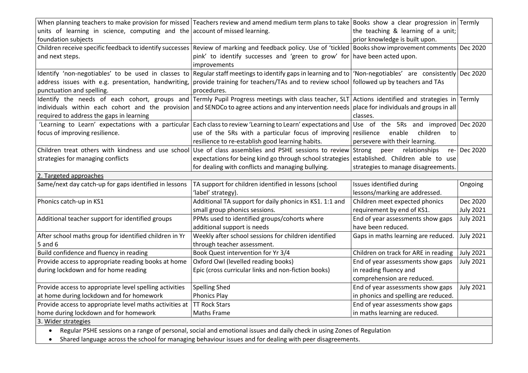|                                                                             | When planning teachers to make provision for missed Teachers review and amend medium term plans to take Books show a clear progression in Termly            |                                      |                  |
|-----------------------------------------------------------------------------|-------------------------------------------------------------------------------------------------------------------------------------------------------------|--------------------------------------|------------------|
| units of learning in science, computing and the account of missed learning. |                                                                                                                                                             | the teaching & learning of a unit;   |                  |
| foundation subjects                                                         |                                                                                                                                                             | prior knowledge is built upon.       |                  |
|                                                                             | Children receive specific feedback to identify successes Review of marking and feedback policy. Use of 'tickled Books show improvement comments Dec 2020    |                                      |                  |
| and next steps.                                                             | pink' to identify successes and 'green to grow' for have been acted upon.                                                                                   |                                      |                  |
|                                                                             | improvements                                                                                                                                                |                                      |                  |
|                                                                             | Identify 'non-negotiables' to be used in classes to Regular staffmeetings to identify gaps in learning and to   'Non-negotiables' are consistently Dec 2020 |                                      |                  |
|                                                                             | address issues with e.g. presentation, handwriting, provide training for teachers/TAs and to review school followed up by teachers and TAs                  |                                      |                  |
| punctuation and spelling.                                                   | procedures.                                                                                                                                                 |                                      |                  |
|                                                                             | Identify the needs of each cohort, groups and Termly Pupil Progress-meetings with class-teacher, SLT Actions identified and strategies in Termly            |                                      |                  |
|                                                                             | individuals within each cohort and the provision and SENDCo to agree actions and any intervention needs place for individuals and groups in all             |                                      |                  |
| required to address the gaps in learning                                    |                                                                                                                                                             | classes.                             |                  |
|                                                                             | 'Learning to Learn' expectations with a particular Each class to review 'Learning to Learn' expectations and Use of the 5Rs and improved Dec 2020           |                                      |                  |
| focus of improving resilience.                                              | use of the 5Rs with a particular focus of improving resilience                                                                                              | children<br>enable<br>to             |                  |
|                                                                             | resilience to re-establish good learning habits.                                                                                                            | persevere with their learning.       |                  |
| Children treat others with kindness and use school                          | Use of class assemblies and PSHE sessions to review Strong                                                                                                  | peer relationships                   | re- Dec 2020     |
| strategies for managing conflicts                                           | expectations for being kind go through school strategies established. Children able to use                                                                  |                                      |                  |
|                                                                             | for dealing with conflicts and managing bullying.                                                                                                           | strategies to manage disagreements.  |                  |
| 2. Targeted approaches                                                      |                                                                                                                                                             |                                      |                  |
| Same/next day catch-up for gaps identified in lessons                       | TA support for children identified in lessons (school                                                                                                       | Issues identified during             | Ongoing          |
|                                                                             | 'label' strategy).                                                                                                                                          | lessons/marking are addressed.       |                  |
| Phonics catch-up in KS1                                                     | Additional TA support for daily phonics in KS1. 1:1 and                                                                                                     | Children meet expected phonics       | Dec 2020         |
|                                                                             | small group phonics sessions.                                                                                                                               | requirement by end of KS1.           | <b>July 2021</b> |
| Additional teacher support for identified groups                            | PPMs used to identified groups/cohorts where                                                                                                                | End of year assessments show gaps    | <b>July 2021</b> |
|                                                                             | additional support is needs                                                                                                                                 | have been reduced.                   |                  |
| After school maths group for identified children in Yr                      | Weekly after school sessions for children identified                                                                                                        | Gaps in maths learning are reduced.  | <b>July 2021</b> |
| $5$ and $6$                                                                 |                                                                                                                                                             |                                      |                  |
|                                                                             | through teacher assessment.                                                                                                                                 |                                      |                  |
| Build confidence and fluency in reading                                     | Book Quest intervention for Yr 3/4                                                                                                                          | Children on track for ARE in reading | <b>July 2021</b> |
| Provide access to appropriate reading books at home                         | Oxford Owl (levelled reading books)                                                                                                                         | End of year assessments show gaps    | <b>July 2021</b> |
| during lockdown and for home reading                                        | Epic (cross curricular links and non-fiction books)                                                                                                         | in reading fluency and               |                  |
|                                                                             |                                                                                                                                                             | comprehension are reduced.           |                  |
| Provide access to appropriate level spelling activities                     | <b>Spelling Shed</b>                                                                                                                                        | End of year assessments show gaps    | <b>July 2021</b> |
| at home during lockdown and for homework                                    | <b>Phonics Play</b>                                                                                                                                         | in phonics and spelling are reduced. |                  |
| Provide access to appropriate level maths activities at TT Rock Stars       |                                                                                                                                                             | End of year assessments show gaps    |                  |
| home during lockdown and for homework                                       | <b>Maths Frame</b>                                                                                                                                          | in maths learning are reduced.       |                  |
| 3. Wider strategies                                                         |                                                                                                                                                             |                                      |                  |

Shared language across the school for managing behaviour issues and for dealing with peer disagreements.